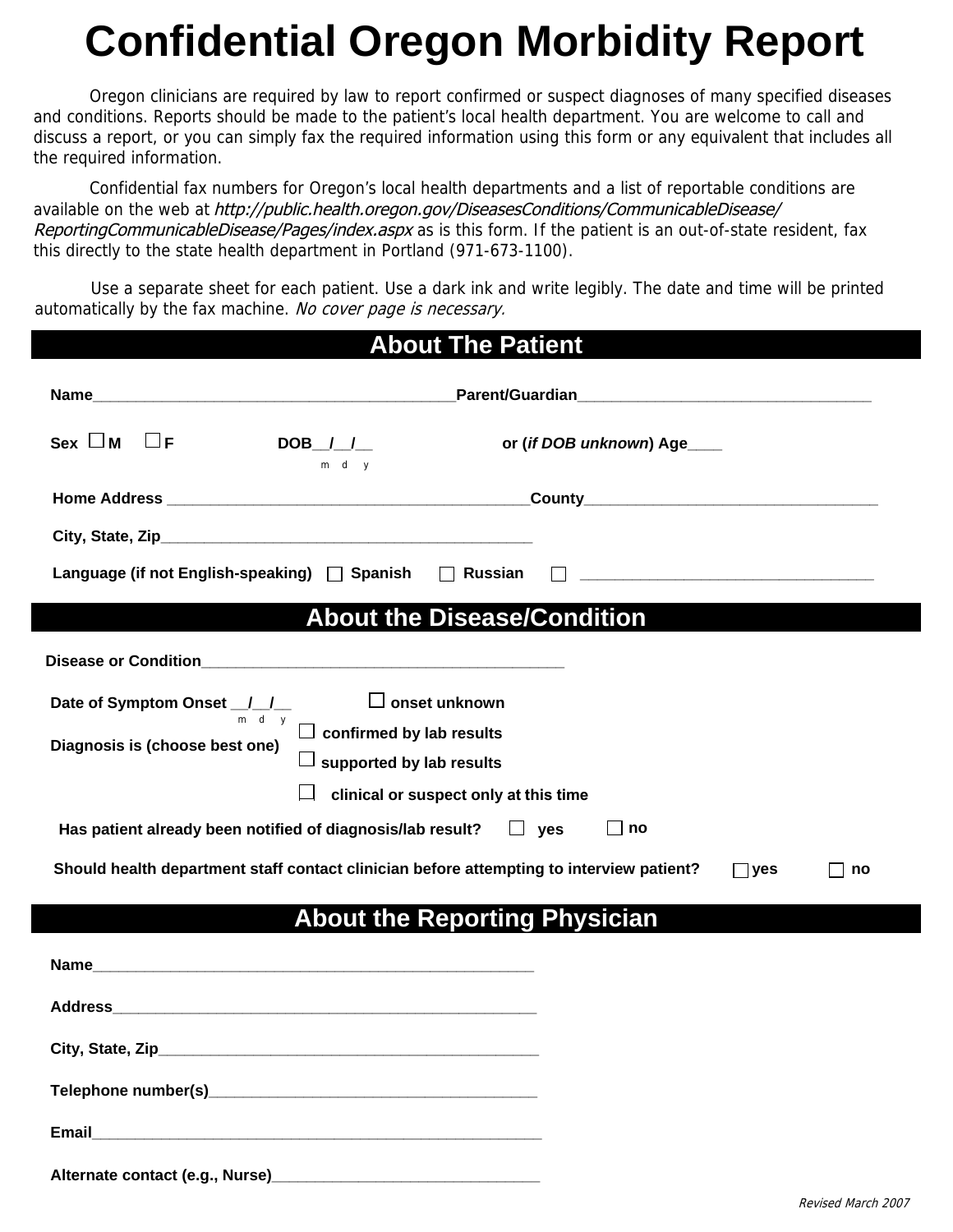## **Confidential Oregon Morbidity Report**

Oregon clinicians are required by law to report confirmed or suspect diagnoses of many specified diseases and conditions. Reports should be made to the patient's local health department. You are welcome to call and discuss a report, or you can simply fax the required information using this form or any equivalent that includes all the required information.

Confidential fax numbers for Oregon's local health departments and a list of reportable conditions are available on the web at [http://public.health.oregon.gov/DiseasesConditions/CommunicableDisease/](http://public.health.oregon.gov/DiseasesConditions/CommunicableDisease/ReportingCommunicableDisease/Pages/index.aspx) ReportingCommunicableDisease/Pages/index.aspx as is this form. If the patient is an out-of-state resident, fax this directly to the state health department in Portland (971-673-1100).

Use a separate sheet for each patient. Use a dark ink and write legibly. The date and time will be printed automatically by the fax machine. No cover page is necessary.

| <b>About The Patient</b>                                                                                     |                                       |                            |  |  |  |  |  |
|--------------------------------------------------------------------------------------------------------------|---------------------------------------|----------------------------|--|--|--|--|--|
|                                                                                                              |                                       |                            |  |  |  |  |  |
| $\mathsf{Sex} \ \Box \ \mathsf{M} \quad \Box \ \mathsf{F}$                                                   | $DOB$ $1 - 1$<br>m d y                | or (if DOB unknown) Age___ |  |  |  |  |  |
|                                                                                                              |                                       |                            |  |  |  |  |  |
|                                                                                                              |                                       |                            |  |  |  |  |  |
| Language (if not English-speaking) $\Box$ Spanish $\Box$ Russian                                             |                                       |                            |  |  |  |  |  |
|                                                                                                              | <b>About the Disease/Condition</b>    |                            |  |  |  |  |  |
|                                                                                                              |                                       |                            |  |  |  |  |  |
| Date of Symptom Onset $J_{\frac{1}{m-d-y}}$ $\Box$ onset unknown<br>$\Box$ confirmed by lab results          |                                       |                            |  |  |  |  |  |
| Diagnosis is (choose best one)                                                                               | $\Box$ supported by lab results       |                            |  |  |  |  |  |
|                                                                                                              | clinical or suspect only at this time |                            |  |  |  |  |  |
| Has patient already been notified of diagnosis/lab result? $\square$ yes<br>     no                          |                                       |                            |  |  |  |  |  |
| Should health department staff contact clinician before attempting to interview patient?<br>$\Box$ yes<br>no |                                       |                            |  |  |  |  |  |
| <b>About the Reporting Physician</b>                                                                         |                                       |                            |  |  |  |  |  |
|                                                                                                              |                                       |                            |  |  |  |  |  |
|                                                                                                              |                                       |                            |  |  |  |  |  |
|                                                                                                              |                                       |                            |  |  |  |  |  |
|                                                                                                              |                                       |                            |  |  |  |  |  |
|                                                                                                              |                                       |                            |  |  |  |  |  |
|                                                                                                              |                                       |                            |  |  |  |  |  |